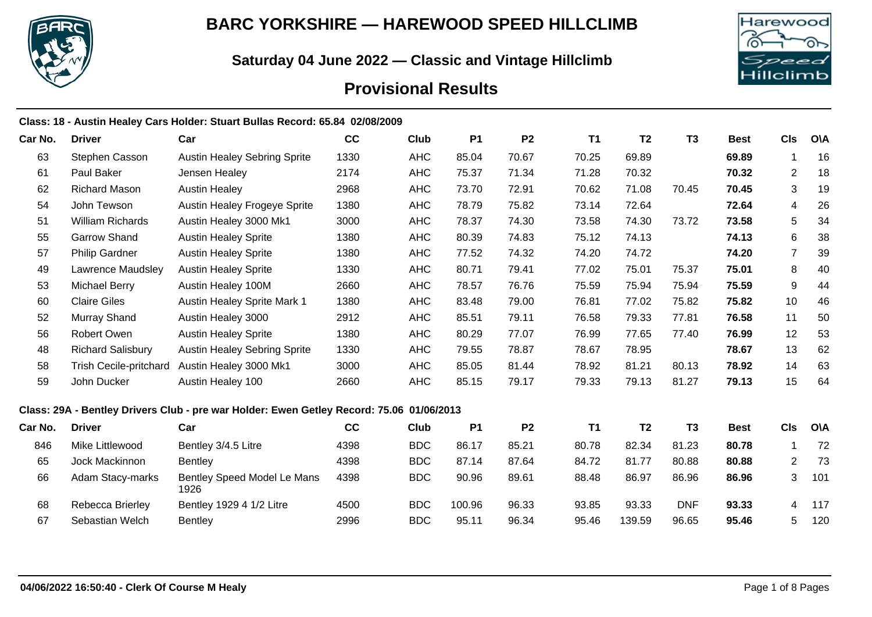

## **BARC YORKSHIRE — HAREWOOD SPEED HILLCLIMB**

**Saturday 04 June 2022 — Classic and Vintage Hillclimb**



# **Provisional Results**

|         |                               | Class: 18 - Austin Healey Cars Holder: Stuart Bullas Record: 65.84  02/08/2009           |      |            |           |                |           |                |                |             |                |            |
|---------|-------------------------------|------------------------------------------------------------------------------------------|------|------------|-----------|----------------|-----------|----------------|----------------|-------------|----------------|------------|
| Car No. | <b>Driver</b>                 | Car                                                                                      | cc   | Club       | <b>P1</b> | P <sub>2</sub> | <b>T1</b> | T <sub>2</sub> | T <sub>3</sub> | <b>Best</b> | CIs            | <b>O\A</b> |
| 63      | Stephen Casson                | <b>Austin Healey Sebring Sprite</b>                                                      | 1330 | <b>AHC</b> | 85.04     | 70.67          | 70.25     | 69.89          |                | 69.89       | -1             | 16         |
| 61      | Paul Baker                    | Jensen Healey                                                                            | 2174 | <b>AHC</b> | 75.37     | 71.34          | 71.28     | 70.32          |                | 70.32       | $\overline{2}$ | 18         |
| 62      | <b>Richard Mason</b>          | <b>Austin Healey</b>                                                                     | 2968 | <b>AHC</b> | 73.70     | 72.91          | 70.62     | 71.08          | 70.45          | 70.45       | 3              | 19         |
| 54      | John Tewson                   | Austin Healey Frogeye Sprite                                                             | 1380 | <b>AHC</b> | 78.79     | 75.82          | 73.14     | 72.64          |                | 72.64       | 4              | 26         |
| 51      | William Richards              | Austin Healey 3000 Mk1                                                                   | 3000 | <b>AHC</b> | 78.37     | 74.30          | 73.58     | 74.30          | 73.72          | 73.58       | 5              | 34         |
| 55      | <b>Garrow Shand</b>           | <b>Austin Healey Sprite</b>                                                              | 1380 | <b>AHC</b> | 80.39     | 74.83          | 75.12     | 74.13          |                | 74.13       | 6              | 38         |
| 57      | <b>Philip Gardner</b>         | <b>Austin Healey Sprite</b>                                                              | 1380 | <b>AHC</b> | 77.52     | 74.32          | 74.20     | 74.72          |                | 74.20       | $\overline{7}$ | 39         |
| 49      | Lawrence Maudsley             | <b>Austin Healey Sprite</b>                                                              | 1330 | <b>AHC</b> | 80.71     | 79.41          | 77.02     | 75.01          | 75.37          | 75.01       | 8              | 40         |
| 53      | Michael Berry                 | Austin Healey 100M                                                                       | 2660 | <b>AHC</b> | 78.57     | 76.76          | 75.59     | 75.94          | 75.94          | 75.59       | 9              | 44         |
| 60      | <b>Claire Giles</b>           | Austin Healey Sprite Mark 1                                                              | 1380 | <b>AHC</b> | 83.48     | 79.00          | 76.81     | 77.02          | 75.82          | 75.82       | 10             | 46         |
| 52      | Murray Shand                  | Austin Healey 3000                                                                       | 2912 | <b>AHC</b> | 85.51     | 79.11          | 76.58     | 79.33          | 77.81          | 76.58       | 11             | 50         |
| 56      | Robert Owen                   | <b>Austin Healey Sprite</b>                                                              | 1380 | <b>AHC</b> | 80.29     | 77.07          | 76.99     | 77.65          | 77.40          | 76.99       | 12             | 53         |
| 48      | <b>Richard Salisbury</b>      | <b>Austin Healey Sebring Sprite</b>                                                      | 1330 | <b>AHC</b> | 79.55     | 78.87          | 78.67     | 78.95          |                | 78.67       | 13             | 62         |
| 58      | <b>Trish Cecile-pritchard</b> | Austin Healey 3000 Mk1                                                                   | 3000 | <b>AHC</b> | 85.05     | 81.44          | 78.92     | 81.21          | 80.13          | 78.92       | 14             | 63         |
| 59      | John Ducker                   | Austin Healey 100                                                                        | 2660 | <b>AHC</b> | 85.15     | 79.17          | 79.33     | 79.13          | 81.27          | 79.13       | 15             | 64         |
|         |                               | Class: 29A - Bentley Drivers Club - pre war Holder: Ewen Getley Record: 75.06 01/06/2013 |      |            |           |                |           |                |                |             |                |            |
| Car No. | <b>Driver</b>                 | Car                                                                                      | cc   | Club       | <b>P1</b> | P <sub>2</sub> | <b>T1</b> | T <sub>2</sub> | T <sub>3</sub> | <b>Best</b> | CIs            | <b>O\A</b> |
| 846     | Mike Littlewood               | Bentley 3/4.5 Litre                                                                      | 4398 | <b>BDC</b> | 86.17     | 85.21          | 80.78     | 82.34          | 81.23          | 80.78       | -1             | 72         |
| 65      | Jock Mackinnon                | <b>Bentley</b>                                                                           | 4398 | <b>BDC</b> | 87.14     | 87.64          | 84.72     | 81.77          | 80.88          | 80.88       | $\overline{2}$ | 73         |
| 66      | Adam Stacy-marks              | Bentley Speed Model Le Mans<br>1926                                                      | 4398 | <b>BDC</b> | 90.96     | 89.61          | 88.48     | 86.97          | 86.96          | 86.96       | 3              | 101        |
| 68      | Rebecca Brierley              | Bentley 1929 4 1/2 Litre                                                                 | 4500 | <b>BDC</b> | 100.96    | 96.33          | 93.85     | 93.33          | <b>DNF</b>     | 93.33       | 4              | 117        |
| 67      | Sebastian Welch               | <b>Bentley</b>                                                                           | 2996 | <b>BDC</b> | 95.11     | 96.34          | 95.46     | 139.59         | 96.65          | 95.46       | 5              | 120        |
|         |                               |                                                                                          |      |            |           |                |           |                |                |             |                |            |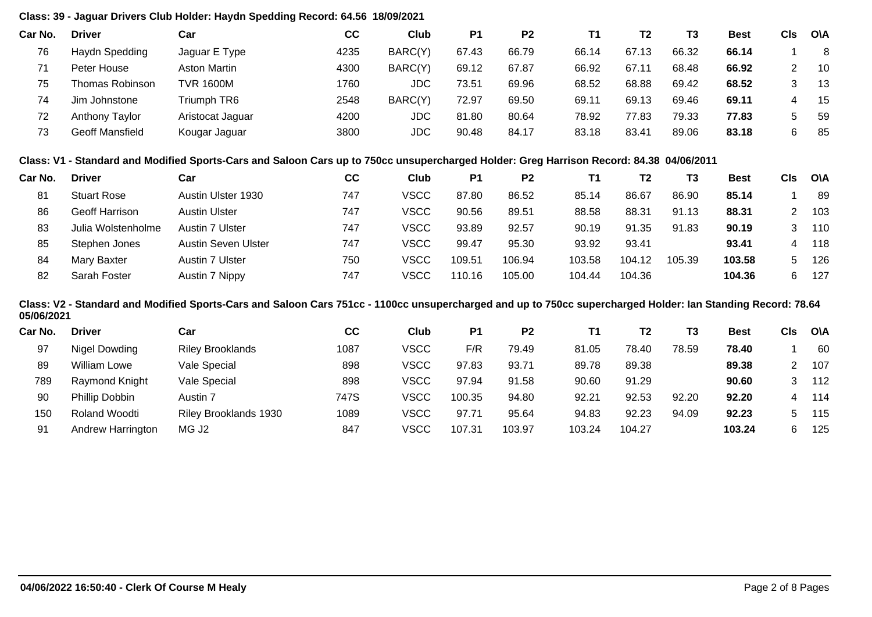### **Class: 39 - Jaguar Drivers Club Holder: Haydn Spedding Record: 64.56 18/09/2021**

| Car No. | <b>Driver</b>   | Car                 | СC   | Club       | P <sub>1</sub> | P <sub>2</sub> | Τ1    | T2    | T3    | <b>Best</b> | CIs | <b>OVA</b> |
|---------|-----------------|---------------------|------|------------|----------------|----------------|-------|-------|-------|-------------|-----|------------|
| 76      | Haydn Spedding  | Jaguar E Type       | 4235 | BARC(Y)    | 67.43          | 66.79          | 66.14 | 67.13 | 66.32 | 66.14       |     | 8          |
|         | Peter House     | <b>Aston Martin</b> | 4300 | BARC(Y)    | 69.12          | 67.87          | 66.92 | 67.11 | 68.48 | 66.92       |     | 10         |
| 75      | Thomas Robinson | <b>TVR 1600M</b>    | 1760 | <b>JDC</b> | 73.51          | 69.96          | 68.52 | 68.88 | 69.42 | 68.52       |     | 13         |
| 74      | Jim Johnstone   | Triumph TR6         | 2548 | BARC(Y)    | 72.97          | 69.50          | 69.11 | 69.13 | 69.46 | 69.11       |     | -15        |
| 72      | Anthony Taylor  | Aristocat Jaguar    | 4200 | JDC        | 81.80          | 80.64          | 78.92 | 77.83 | 79.33 | 77.83       | 5.  | -59        |
| 73      | Geoff Mansfield | Kougar Jaguar       | 3800 | JDC        | 90.48          | 84.17          | 83.18 | 83.41 | 89.06 | 83.18       | 6.  | -85        |

#### **Class: V1 - Standard and Modified Sports-Cars and Saloon Cars up to 750cc unsupercharged Holder: Greg Harrison Record: 84.38 04/06/2011**

| Car No. | <b>Driver</b>         | Car                    | СC  | Club        | P1     | P <sub>2</sub> | <b>T1</b> | Т2     | T3     | <b>Best</b> | <b>CIs</b> | <b>OVA</b> |
|---------|-----------------------|------------------------|-----|-------------|--------|----------------|-----------|--------|--------|-------------|------------|------------|
| 81      | <b>Stuart Rose</b>    | Austin Ulster 1930     | 747 | <b>VSCC</b> | 87.80  | 86.52          | 85.14     | 86.67  | 86.90  | 85.14       |            | 89         |
| 86      | <b>Geoff Harrison</b> | <b>Austin Ulster</b>   | 747 | <b>VSCC</b> | 90.56  | 89.51          | 88.58     | 88.31  | 91.13  | 88.31       |            | 103        |
| 83      | Julia Wolstenholme    | <b>Austin 7 Ulster</b> | 747 | VSCC        | 93.89  | 92.57          | 90.19     | 91.35  | 91.83  | 90.19       | 3          | 110        |
| 85      | Stephen Jones         | Austin Seven Ulster    | 747 | VSCC        | 99.47  | 95.30          | 93.92     | 93.41  |        | 93.41       | 4          | 118        |
| 84      | Mary Baxter           | Austin 7 Ulster        | 750 | <b>VSCC</b> | 109.51 | 106.94         | 103.58    | 104.12 | 105.39 | 103.58      | $^{\circ}$ | 126        |
| 82      | Sarah Foster          | Austin 7 Nippy         | 747 | VSCC        | 110.16 | 105.00         | 104.44    | 104.36 |        | 104.36      | 6          | 127        |

#### **Class: V2 - Standard and Modified Sports-Cars and Saloon Cars 751cc - 1100cc unsupercharged and up to 750cc supercharged Holder: Ian Standing Record: 78.64 05/06/2021**

| <b>Driver</b>       | Car                     | cc   | Club        | P1     | P <sub>2</sub> |        | T <sub>2</sub> | T3    | Best   | Cls | <b>O\A</b> |
|---------------------|-------------------------|------|-------------|--------|----------------|--------|----------------|-------|--------|-----|------------|
| Nigel Dowding       | <b>Riley Brooklands</b> | 1087 | VSCC        | F/R    | 79.49          | 81.05  | 78.40          | 78.59 | 78.40  |     | 60         |
| <b>William Lowe</b> | Vale Special            | 898  | <b>VSCC</b> | 97.83  | 93.71          | 89.78  | 89.38          |       | 89.38  |     | 107        |
| Raymond Knight      | Vale Special            | 898  | VSCC        | 97.94  | 91.58          | 90.60  | 91.29          |       | 90.60  |     | 112        |
| Phillip Dobbin      | Austin 7                | 747S | VSCC        | 100.35 | 94.80          | 92.21  | 92.53          | 92.20 | 92.20  | 4   | 114        |
| Roland Woodti       | Riley Brooklands 1930   | 1089 | <b>VSCC</b> | 97.71  | 95.64          | 94.83  | 92.23          | 94.09 | 92.23  |     | 115        |
| Andrew Harrington   | MG J <sub>2</sub>       | 847  | VSCC        | 107.31 | 103.97         | 103.24 | 104.27         |       | 103.24 | 6   | 125        |
|                     |                         |      |             |        |                |        |                |       |        |     |            |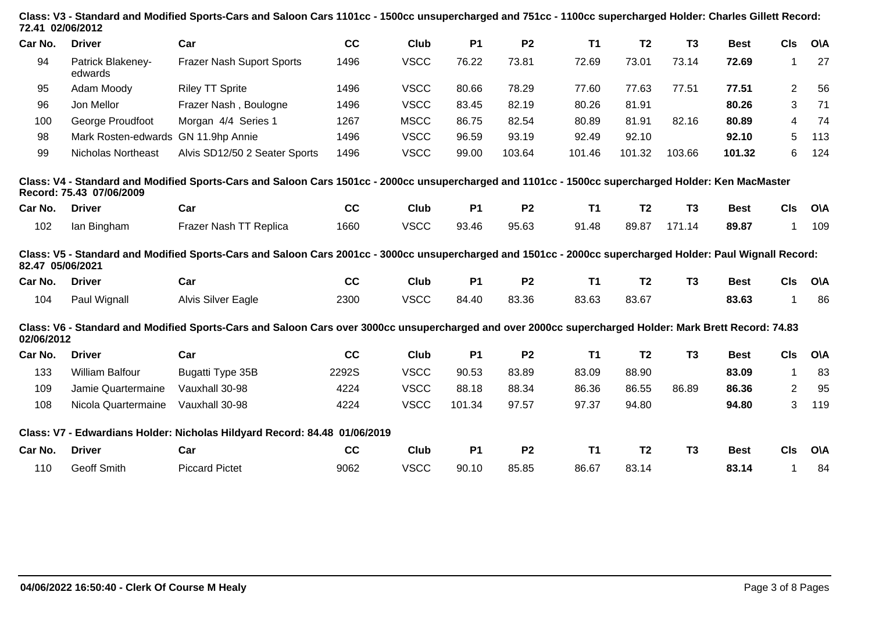| 72.41 02/06/2012 |                              | Class: V3 - Standard and Modified Sports-Cars and Saloon Cars 1101cc - 1500cc unsupercharged and 751cc - 1100cc supercharged Holder: Charles Gillett Record: |       |             |           |                |           |                |                |             |                |            |
|------------------|------------------------------|--------------------------------------------------------------------------------------------------------------------------------------------------------------|-------|-------------|-----------|----------------|-----------|----------------|----------------|-------------|----------------|------------|
| Car No.          | <b>Driver</b>                | Car                                                                                                                                                          | cc    | Club        | <b>P1</b> | <b>P2</b>      | T1        | T <sub>2</sub> | T <sub>3</sub> | <b>Best</b> | <b>CIs</b>     | <b>O\A</b> |
| 94               | Patrick Blakeney-<br>edwards | <b>Frazer Nash Suport Sports</b>                                                                                                                             | 1496  | <b>VSCC</b> | 76.22     | 73.81          | 72.69     | 73.01          | 73.14          | 72.69       | 1              | 27         |
| 95               | Adam Moody                   | <b>Riley TT Sprite</b>                                                                                                                                       | 1496  | <b>VSCC</b> | 80.66     | 78.29          | 77.60     | 77.63          | 77.51          | 77.51       | $\overline{2}$ | 56         |
| 96               | Jon Mellor                   | Frazer Nash, Boulogne                                                                                                                                        | 1496  | <b>VSCC</b> | 83.45     | 82.19          | 80.26     | 81.91          |                | 80.26       | 3              | 71         |
| 100              | George Proudfoot             | Morgan 4/4 Series 1                                                                                                                                          | 1267  | <b>MSCC</b> | 86.75     | 82.54          | 80.89     | 81.91          | 82.16          | 80.89       | 4              | 74         |
| 98               | Mark Rosten-edwards          | GN 11.9hp Annie                                                                                                                                              | 1496  | <b>VSCC</b> | 96.59     | 93.19          | 92.49     | 92.10          |                | 92.10       | 5              | 113        |
| 99               | <b>Nicholas Northeast</b>    | Alvis SD12/50 2 Seater Sports                                                                                                                                | 1496  | <b>VSCC</b> | 99.00     | 103.64         | 101.46    | 101.32         | 103.66         | 101.32      | 6              | 124        |
|                  | Record: 75.43 07/06/2009     | Class: V4 - Standard and Modified Sports-Cars and Saloon Cars 1501cc - 2000cc unsupercharged and 1101cc - 1500cc supercharged Holder: Ken MacMaster          |       |             |           |                |           |                |                |             |                |            |
| Car No.          | <b>Driver</b>                | Car                                                                                                                                                          | cc    | Club        | <b>P1</b> | P <sub>2</sub> | <b>T1</b> | T <sub>2</sub> | T <sub>3</sub> | <b>Best</b> | CIs            | <b>O\A</b> |
| 102              | lan Bingham                  | Frazer Nash TT Replica                                                                                                                                       | 1660  | <b>VSCC</b> | 93.46     | 95.63          | 91.48     | 89.87          | 171.14         | 89.87       | $\mathbf 1$    | 109        |
| 82.47 05/06/2021 |                              | Class: V5 - Standard and Modified Sports-Cars and Saloon Cars 2001cc - 3000cc unsupercharged and 1501cc - 2000cc supercharged Holder: Paul Wignall Record:   |       |             |           |                |           |                |                |             |                |            |
| Car No.          | <b>Driver</b>                | Car                                                                                                                                                          | cc    | Club        | <b>P1</b> | P <sub>2</sub> | T1        | T <sub>2</sub> | T <sub>3</sub> | <b>Best</b> | <b>CIs</b>     | <b>O\A</b> |
| 104              | Paul Wignall                 | <b>Alvis Silver Eagle</b>                                                                                                                                    | 2300  | <b>VSCC</b> | 84.40     | 83.36          | 83.63     | 83.67          |                | 83.63       | 1              | 86         |
| 02/06/2012       |                              | Class: V6 - Standard and Modified Sports-Cars and Saloon Cars over 3000cc unsupercharged and over 2000cc supercharged Holder: Mark Brett Record: 74.83       |       |             |           |                |           |                |                |             |                |            |
| Car No.          | <b>Driver</b>                | Car                                                                                                                                                          | cc    | Club        | <b>P1</b> | <b>P2</b>      | <b>T1</b> | T <sub>2</sub> | T <sub>3</sub> | <b>Best</b> | <b>CIs</b>     | <b>O\A</b> |
| 133              | <b>William Balfour</b>       | Bugatti Type 35B                                                                                                                                             | 2292S | <b>VSCC</b> | 90.53     | 83.89          | 83.09     | 88.90          |                | 83.09       | $\mathbf{1}$   | 83         |
| 109              | Jamie Quartermaine           | Vauxhall 30-98                                                                                                                                               | 4224  | <b>VSCC</b> | 88.18     | 88.34          | 86.36     | 86.55          | 86.89          | 86.36       | $\overline{2}$ | 95         |
| 108              | Nicola Quartermaine          | Vauxhall 30-98                                                                                                                                               | 4224  | <b>VSCC</b> | 101.34    | 97.57          | 97.37     | 94.80          |                | 94.80       | 3              | 119        |
|                  |                              | Class: V7 - Edwardians Holder: Nicholas Hildyard Record: 84.48 01/06/2019                                                                                    |       |             |           |                |           |                |                |             |                |            |
| Car No.          | <b>Driver</b>                | Car                                                                                                                                                          | cc    | Club        | <b>P1</b> | <b>P2</b>      | <b>T1</b> | T <sub>2</sub> | T <sub>3</sub> | <b>Best</b> | <b>CIs</b>     | <b>O\A</b> |
| 110              | Geoff Smith                  | <b>Piccard Pictet</b>                                                                                                                                        | 9062  | <b>VSCC</b> | 90.10     | 85.85          | 86.67     | 83.14          |                | 83.14       | 1              | 84         |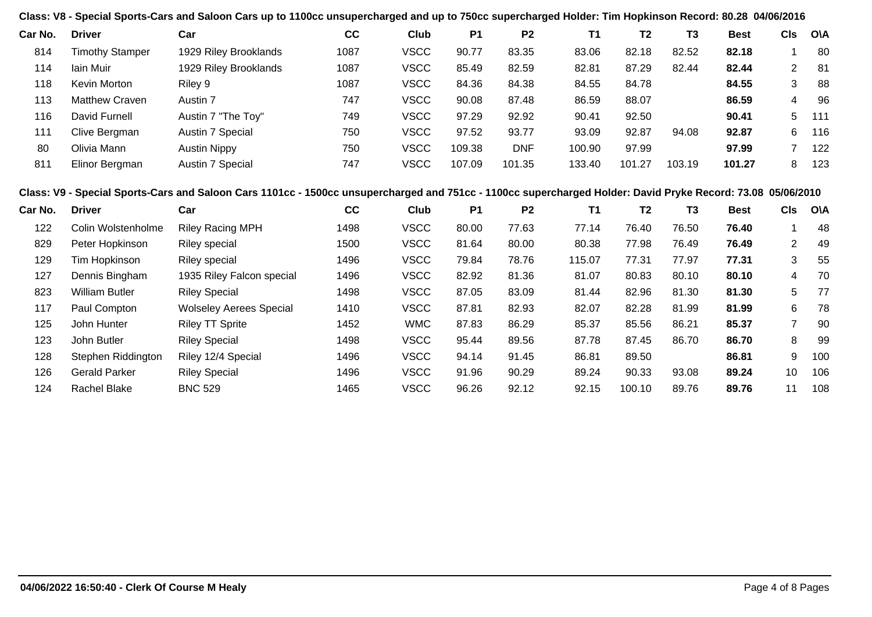**Class: V8 - Special Sports-Cars and Saloon Cars up to 1100cc unsupercharged and up to 750cc supercharged Holder: Tim Hopkinson Record: 80.28 04/06/2016**

| Car No. | <b>Driver</b>          | Car                   | cc   | Club        | P <sub>1</sub> | P <sub>2</sub> | Τ1     | Т2     | T3     | <b>Best</b> | CIs | <b>OVA</b> |
|---------|------------------------|-----------------------|------|-------------|----------------|----------------|--------|--------|--------|-------------|-----|------------|
| 814     | <b>Timothy Stamper</b> | 1929 Riley Brooklands | 1087 | <b>VSCC</b> | 90.77          | 83.35          | 83.06  | 82.18  | 82.52  | 82.18       |     | 80         |
| 114     | lain Muir              | 1929 Riley Brooklands | 1087 | <b>VSCC</b> | 85.49          | 82.59          | 82.81  | 87.29  | 82.44  | 82.44       | 2   | -81        |
| 118     | Kevin Morton           | Riley 9               | 1087 | <b>VSCC</b> | 84.36          | 84.38          | 84.55  | 84.78  |        | 84.55       | 3   | 88         |
| 113     | <b>Matthew Craven</b>  | Austin 7              | 747  | <b>VSCC</b> | 90.08          | 87.48          | 86.59  | 88.07  |        | 86.59       | 4   | 96         |
| 116     | David Furnell          | Austin 7 "The Toy"    | 749  | <b>VSCC</b> | 97.29          | 92.92          | 90.41  | 92.50  |        | 90.41       | 5   | 111        |
| 111     | Clive Bergman          | Austin 7 Special      | 750  | <b>VSCC</b> | 97.52          | 93.77          | 93.09  | 92.87  | 94.08  | 92.87       | 6   | 116        |
| 80      | Olivia Mann            | <b>Austin Nippy</b>   | 750  | <b>VSCC</b> | 109.38         | <b>DNF</b>     | 100.90 | 97.99  |        | 97.99       |     | 122        |
| 811     | Elinor Bergman         | Austin 7 Special      | 747  | <b>VSCC</b> | 107.09         | 101.35         | 133.40 | 101.27 | 103.19 | 101.27      | 8   | 123        |

#### **Class: V9 - Special Sports-Cars and Saloon Cars 1101cc - 1500cc unsupercharged and 751cc - 1100cc supercharged Holder: David Pryke Record: 73.08 05/06/2010**

| <b>Driver</b>         | Car                            | cc   | Club        | P <sub>1</sub> | P <sub>2</sub> | <b>T1</b> | T <sub>2</sub> | T3    | <b>Best</b> | <b>CIs</b>      | <b>O\A</b> |
|-----------------------|--------------------------------|------|-------------|----------------|----------------|-----------|----------------|-------|-------------|-----------------|------------|
| Colin Wolstenholme    | <b>Riley Racing MPH</b>        | 1498 | <b>VSCC</b> | 80.00          | 77.63          | 77.14     | 76.40          | 76.50 | 76.40       |                 | -48        |
| Peter Hopkinson       | <b>Riley special</b>           | 1500 | <b>VSCC</b> | 81.64          | 80.00          | 80.38     | 77.98          | 76.49 | 76.49       | 2               | -49        |
| Tim Hopkinson         | <b>Riley special</b>           | 1496 | <b>VSCC</b> | 79.84          | 78.76          | 115.07    | 77.31          | 77.97 | 77.31       | 3               | 55         |
| Dennis Bingham        | 1935 Riley Falcon special      | 1496 | <b>VSCC</b> | 82.92          | 81.36          | 81.07     | 80.83          | 80.10 | 80.10       | 4               | 70         |
| <b>William Butler</b> | <b>Riley Special</b>           | 1498 | <b>VSCC</b> | 87.05          | 83.09          | 81.44     | 82.96          | 81.30 | 81.30       | 5               | 77         |
| Paul Compton          | <b>Wolseley Aerees Special</b> | 1410 | <b>VSCC</b> | 87.81          | 82.93          | 82.07     | 82.28          | 81.99 | 81.99       | 6               | 78         |
| John Hunter           | <b>Riley TT Sprite</b>         | 1452 | <b>WMC</b>  | 87.83          | 86.29          | 85.37     | 85.56          | 86.21 | 85.37       |                 | 90         |
| John Butler           | <b>Riley Special</b>           | 1498 | <b>VSCC</b> | 95.44          | 89.56          | 87.78     | 87.45          | 86.70 | 86.70       | 8               | 99         |
| Stephen Riddington    | Riley 12/4 Special             | 1496 | <b>VSCC</b> | 94.14          | 91.45          | 86.81     | 89.50          |       | 86.81       | 9               | 100        |
| <b>Gerald Parker</b>  | <b>Riley Special</b>           | 1496 | <b>VSCC</b> | 91.96          | 90.29          | 89.24     | 90.33          | 93.08 | 89.24       | 10 <sup>°</sup> | 106        |
| Rachel Blake          | <b>BNC 529</b>                 | 1465 | <b>VSCC</b> | 96.26          | 92.12          | 92.15     | 100.10         | 89.76 | 89.76       | 11              | 108        |
|                       |                                |      |             |                |                |           |                |       |             |                 |            |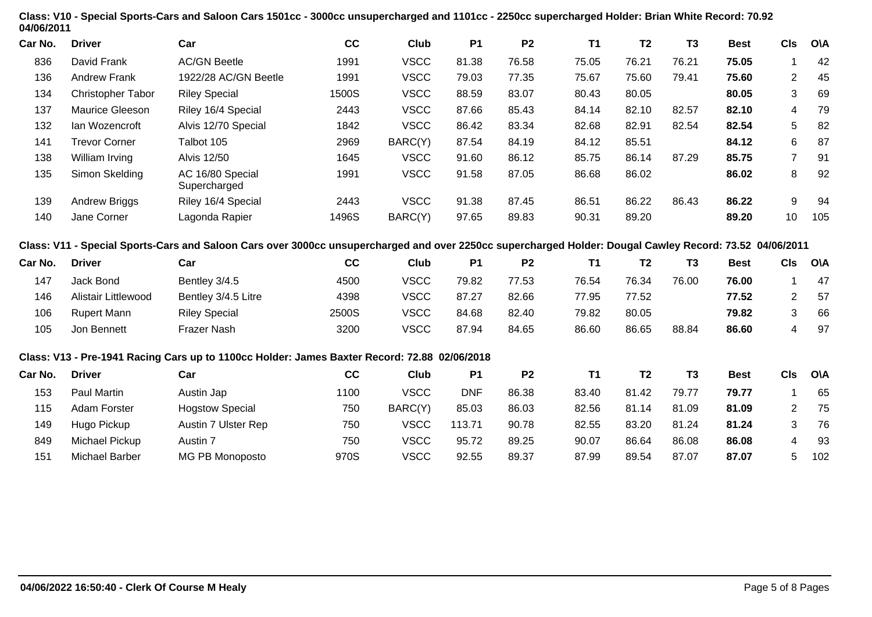| 04/06/2011 |                            | Class: V10 - Special Sports-Cars and Saloon Cars 1501cc - 3000cc unsupercharged and 1101cc - 2250cc supercharged Holder: Brian White Record: 70.92      |       |             |            |                |           |                |                |             |                |            |
|------------|----------------------------|---------------------------------------------------------------------------------------------------------------------------------------------------------|-------|-------------|------------|----------------|-----------|----------------|----------------|-------------|----------------|------------|
| Car No.    | <b>Driver</b>              | Car                                                                                                                                                     | cc    | Club        | <b>P1</b>  | P <sub>2</sub> | <b>T1</b> | T <sub>2</sub> | T <sub>3</sub> | <b>Best</b> | <b>CIs</b>     | <b>O\A</b> |
| 836        | David Frank                | <b>AC/GN Beetle</b>                                                                                                                                     | 1991  | <b>VSCC</b> | 81.38      | 76.58          | 75.05     | 76.21          | 76.21          | 75.05       | 1              | 42         |
| 136        | <b>Andrew Frank</b>        | 1922/28 AC/GN Beetle                                                                                                                                    | 1991  | <b>VSCC</b> | 79.03      | 77.35          | 75.67     | 75.60          | 79.41          | 75.60       | 2              | 45         |
| 134        | Christopher Tabor          | <b>Riley Special</b>                                                                                                                                    | 1500S | <b>VSCC</b> | 88.59      | 83.07          | 80.43     | 80.05          |                | 80.05       | 3              | 69         |
| 137        | Maurice Gleeson            | Riley 16/4 Special                                                                                                                                      | 2443  | <b>VSCC</b> | 87.66      | 85.43          | 84.14     | 82.10          | 82.57          | 82.10       | 4              | 79         |
| 132        | Ian Wozencroft             | Alvis 12/70 Special                                                                                                                                     | 1842  | <b>VSCC</b> | 86.42      | 83.34          | 82.68     | 82.91          | 82.54          | 82.54       | 5              | 82         |
| 141        | <b>Trevor Corner</b>       | Talbot 105                                                                                                                                              | 2969  | BARC(Y)     | 87.54      | 84.19          | 84.12     | 85.51          |                | 84.12       | 6              | 87         |
| 138        | William Irving             | <b>Alvis 12/50</b>                                                                                                                                      | 1645  | <b>VSCC</b> | 91.60      | 86.12          | 85.75     | 86.14          | 87.29          | 85.75       | $\overline{7}$ | 91         |
| 135        | Simon Skelding             | AC 16/80 Special<br>Supercharged                                                                                                                        | 1991  | <b>VSCC</b> | 91.58      | 87.05          | 86.68     | 86.02          |                | 86.02       | 8              | 92         |
| 139        | Andrew Briggs              | Riley 16/4 Special                                                                                                                                      | 2443  | <b>VSCC</b> | 91.38      | 87.45          | 86.51     | 86.22          | 86.43          | 86.22       | 9              | 94         |
| 140        | Jane Corner                | Lagonda Rapier                                                                                                                                          | 1496S | BARC(Y)     | 97.65      | 89.83          | 90.31     | 89.20          |                | 89.20       | 10             | 105        |
|            |                            | Class: V11 - Special Sports-Cars and Saloon Cars over 3000cc unsupercharged and over 2250cc supercharged Holder: Dougal Cawley Record: 73.52 04/06/2011 |       |             |            |                |           |                |                |             |                |            |
| Car No.    | <b>Driver</b>              | Car                                                                                                                                                     | cc    | Club        | <b>P1</b>  | P <sub>2</sub> | <b>T1</b> | T <sub>2</sub> | T <sub>3</sub> | <b>Best</b> | <b>CIs</b>     | O\A        |
| 147        | Jack Bond                  | Bentley 3/4.5                                                                                                                                           | 4500  | <b>VSCC</b> | 79.82      | 77.53          | 76.54     | 76.34          | 76.00          | 76.00       | 1              | 47         |
| 146        | <b>Alistair Littlewood</b> | Bentley 3/4.5 Litre                                                                                                                                     | 4398  | <b>VSCC</b> | 87.27      | 82.66          | 77.95     | 77.52          |                | 77.52       | $\overline{2}$ | 57         |
| 106        | <b>Rupert Mann</b>         | <b>Riley Special</b>                                                                                                                                    | 2500S | <b>VSCC</b> | 84.68      | 82.40          | 79.82     | 80.05          |                | 79.82       | 3              | 66         |
| 105        | Jon Bennett                | Frazer Nash                                                                                                                                             | 3200  | <b>VSCC</b> | 87.94      | 84.65          | 86.60     | 86.65          | 88.84          | 86.60       | 4              | 97         |
|            |                            | Class: V13 - Pre-1941 Racing Cars up to 1100cc Holder: James Baxter Record: 72.88 02/06/2018                                                            |       |             |            |                |           |                |                |             |                |            |
| Car No.    | <b>Driver</b>              | Car                                                                                                                                                     | cc    | Club        | <b>P1</b>  | P <sub>2</sub> | <b>T1</b> | T <sub>2</sub> | <b>T3</b>      | <b>Best</b> | <b>CIs</b>     | <b>O\A</b> |
| 153        | Paul Martin                | Austin Jap                                                                                                                                              | 1100  | <b>VSCC</b> | <b>DNF</b> | 86.38          | 83.40     | 81.42          | 79.77          | 79.77       | $\mathbf{1}$   | 65         |
| 115        | Adam Forster               | <b>Hogstow Special</b>                                                                                                                                  | 750   | BARC(Y)     | 85.03      | 86.03          | 82.56     | 81.14          | 81.09          | 81.09       | $\overline{2}$ | 75         |
| 149        | Hugo Pickup                | Austin 7 Ulster Rep                                                                                                                                     | 750   | <b>VSCC</b> | 113.71     | 90.78          | 82.55     | 83.20          | 81.24          | 81.24       | 3              | 76         |
| 849        | Michael Pickup             | Austin 7                                                                                                                                                | 750   | <b>VSCC</b> | 95.72      | 89.25          | 90.07     | 86.64          | 86.08          | 86.08       | 4              | 93         |
| 151        | <b>Michael Barber</b>      | MG PB Monoposto                                                                                                                                         | 970S  | <b>VSCC</b> | 92.55      | 89.37          | 87.99     | 89.54          | 87.07          | 87.07       | 5              | 102        |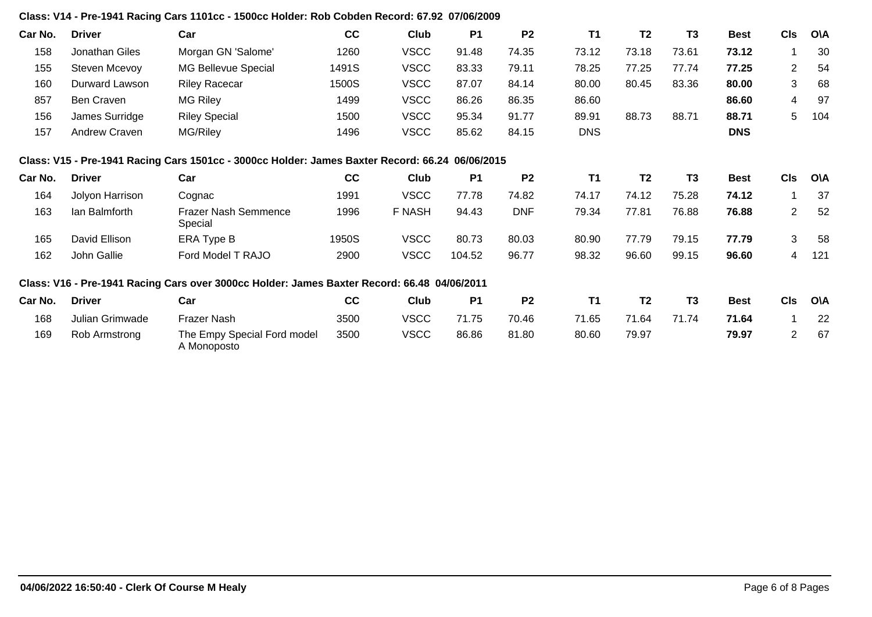### **Class: V14 - Pre-1941 Racing Cars 1101cc - 1500cc Holder: Rob Cobden Record: 67.92 07/06/2009**

| Car No. | <b>Driver</b>   | Car                                                                                             | cc    | Club          | <b>P1</b> | P <sub>2</sub> | <b>T1</b>  | T <sub>2</sub> | T <sub>3</sub> | <b>Best</b> | <b>CIs</b>     | <b>OVA</b> |
|---------|-----------------|-------------------------------------------------------------------------------------------------|-------|---------------|-----------|----------------|------------|----------------|----------------|-------------|----------------|------------|
| 158     | Jonathan Giles  | Morgan GN 'Salome'                                                                              | 1260  | <b>VSCC</b>   | 91.48     | 74.35          | 73.12      | 73.18          | 73.61          | 73.12       |                | 30         |
| 155     | Steven Mcevoy   | MG Bellevue Special                                                                             | 1491S | <b>VSCC</b>   | 83.33     | 79.11          | 78.25      | 77.25          | 77.74          | 77.25       | $\overline{2}$ | 54         |
| 160     | Durward Lawson  | <b>Riley Racecar</b>                                                                            | 1500S | <b>VSCC</b>   | 87.07     | 84.14          | 80.00      | 80.45          | 83.36          | 80.00       | 3              | 68         |
| 857     | Ben Craven      | MG Riley                                                                                        | 1499  | <b>VSCC</b>   | 86.26     | 86.35          | 86.60      |                |                | 86.60       | 4              | 97         |
| 156     | James Surridge  | <b>Riley Special</b>                                                                            | 1500  | <b>VSCC</b>   | 95.34     | 91.77          | 89.91      | 88.73          | 88.71          | 88.71       | 5              | 104        |
| 157     | Andrew Craven   | MG/Riley                                                                                        | 1496  | <b>VSCC</b>   | 85.62     | 84.15          | <b>DNS</b> |                |                | <b>DNS</b>  |                |            |
|         |                 | Class: V15 - Pre-1941 Racing Cars 1501cc - 3000cc Holder: James Baxter Record: 66.24 06/06/2015 |       |               |           |                |            |                |                |             |                |            |
| Car No. | <b>Driver</b>   | Car                                                                                             | cc    | Club          | <b>P1</b> | P <sub>2</sub> | <b>T1</b>  | T <sub>2</sub> | T <sub>3</sub> | <b>Best</b> | <b>CIs</b>     | <b>O\A</b> |
| 164     | Jolyon Harrison | Cognac                                                                                          | 1991  | <b>VSCC</b>   | 77.78     | 74.82          | 74.17      | 74.12          | 75.28          | 74.12       |                | 37         |
| 163     | lan Balmforth   | <b>Frazer Nash Semmence</b><br>Special                                                          | 1996  | <b>F NASH</b> | 94.43     | <b>DNF</b>     | 79.34      | 77.81          | 76.88          | 76.88       | $\overline{2}$ | 52         |
| 165     | David Ellison   | ERA Type B                                                                                      | 1950S | <b>VSCC</b>   | 80.73     | 80.03          | 80.90      | 77.79          | 79.15          | 77.79       | 3              | 58         |
| 162     | John Gallie     | Ford Model T RAJO                                                                               | 2900  | <b>VSCC</b>   | 104.52    | 96.77          | 98.32      | 96.60          | 99.15          | 96.60       | 4              | 121        |
|         |                 | Class: V16 - Pre-1941 Racing Cars over 3000cc Holder: James Baxter Record: 66.48 04/06/2011     |       |               |           |                |            |                |                |             |                |            |
| Car No. | <b>Driver</b>   | Car                                                                                             | cc    | Club          | <b>P1</b> | P <sub>2</sub> | <b>T1</b>  | T <sub>2</sub> | T <sub>3</sub> | <b>Best</b> | <b>CIs</b>     | O\A        |
| 168     | Julian Grimwade | Frazer Nash                                                                                     | 3500  | <b>VSCC</b>   | 71.75     | 70.46          | 71.65      | 71.64          | 71.74          | 71.64       |                | 22         |
| 169     | Rob Armstrong   | The Empy Special Ford model<br>A Monoposto                                                      | 3500  | <b>VSCC</b>   | 86.86     | 81.80          | 80.60      | 79.97          |                | 79.97       | $\overline{2}$ | 67         |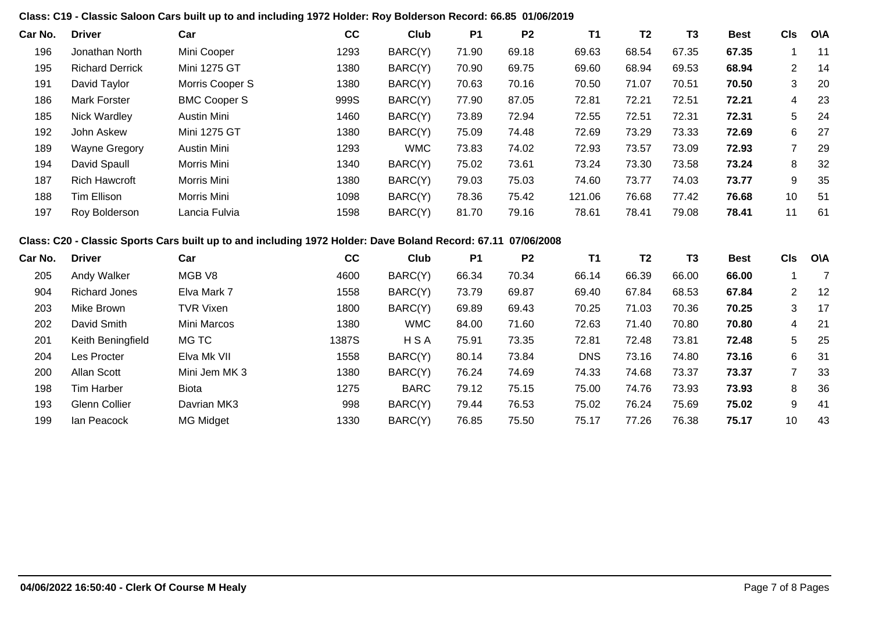#### **Class: C19 - Classic Saloon Cars built up to and including 1972 Holder: Roy Bolderson Record: 66.85 01/06/2019**

| Car No. | <b>Driver</b>          | Car                 | cc   | Club       | P <sub>1</sub> | P <sub>2</sub> | <b>T1</b> | T <sub>2</sub> | T3    | <b>Best</b> | CIs            | O\A |
|---------|------------------------|---------------------|------|------------|----------------|----------------|-----------|----------------|-------|-------------|----------------|-----|
| 196     | Jonathan North         | Mini Cooper         | 1293 | BARC(Y)    | 71.90          | 69.18          | 69.63     | 68.54          | 67.35 | 67.35       |                | 11  |
| 195     | <b>Richard Derrick</b> | <b>Mini 1275 GT</b> | 1380 | BARC(Y)    | 70.90          | 69.75          | 69.60     | 68.94          | 69.53 | 68.94       | $\overline{2}$ | -14 |
| 191     | David Taylor           | Morris Cooper S     | 1380 | BARC(Y)    | 70.63          | 70.16          | 70.50     | 71.07          | 70.51 | 70.50       | 3              | 20  |
| 186     | <b>Mark Forster</b>    | <b>BMC Cooper S</b> | 999S | BARC(Y)    | 77.90          | 87.05          | 72.81     | 72.21          | 72.51 | 72.21       | 4              | 23  |
| 185     | <b>Nick Wardley</b>    | Austin Mini         | 1460 | BARC(Y)    | 73.89          | 72.94          | 72.55     | 72.51          | 72.31 | 72.31       | 5              | -24 |
| 192     | John Askew             | Mini 1275 GT        | 1380 | BARC(Y)    | 75.09          | 74.48          | 72.69     | 73.29          | 73.33 | 72.69       | 6              | 27  |
| 189     | <b>Wayne Gregory</b>   | Austin Mini         | 1293 | <b>WMC</b> | 73.83          | 74.02          | 72.93     | 73.57          | 73.09 | 72.93       |                | 29  |
| 194     | David Spaull           | Morris Mini         | 1340 | BARC(Y)    | 75.02          | 73.61          | 73.24     | 73.30          | 73.58 | 73.24       | 8              | 32  |
| 187     | <b>Rich Hawcroft</b>   | Morris Mini         | 1380 | BARC(Y)    | 79.03          | 75.03          | 74.60     | 73.77          | 74.03 | 73.77       | 9              | 35  |
| 188     | Tim Ellison            | Morris Mini         | 1098 | BARC(Y)    | 78.36          | 75.42          | 121.06    | 76.68          | 77.42 | 76.68       | 10             | 51  |
| 197     | Roy Bolderson          | Lancia Fulvia       | 1598 | BARC(Y)    | 81.70          | 79.16          | 78.61     | 78.41          | 79.08 | 78.41       | 11             | 61  |

## **Class: C20 - Classic Sports Cars built up to and including 1972 Holder: Dave Boland Record: 67.11 07/06/2008**

| Car No. | <b>Driver</b>     | Car              | cc    | Club        | P <sub>1</sub> | P <sub>2</sub> | <b>T1</b>  | T2    | T <sub>3</sub> | <b>Best</b> | <b>CIs</b> | O\A |
|---------|-------------------|------------------|-------|-------------|----------------|----------------|------------|-------|----------------|-------------|------------|-----|
| 205     | Andy Walker       | MGB V8           | 4600  | BARC(Y)     | 66.34          | 70.34          | 66.14      | 66.39 | 66.00          | 66.00       |            |     |
| 904     | Richard Jones     | Elva Mark 7      | 1558  | BARC(Y)     | 73.79          | 69.87          | 69.40      | 67.84 | 68.53          | 67.84       | 2          | -12 |
| 203     | Mike Brown        | <b>TVR Vixen</b> | 1800  | BARC(Y)     | 69.89          | 69.43          | 70.25      | 71.03 | 70.36          | 70.25       | 3          | -17 |
| 202     | David Smith       | Mini Marcos      | 1380  | <b>WMC</b>  | 84.00          | 71.60          | 72.63      | 71.40 | 70.80          | 70.80       | 4          | -21 |
| 201     | Keith Beningfield | MG TC            | 1387S | <b>HSA</b>  | 75.91          | 73.35          | 72.81      | 72.48 | 73.81          | 72.48       | 5          | 25  |
| 204     | Les Procter       | Elva Mk VII      | 1558  | BARC(Y)     | 80.14          | 73.84          | <b>DNS</b> | 73.16 | 74.80          | 73.16       | 6          | 31  |
| 200     | Allan Scott       | Mini Jem MK 3    | 1380  | BARC(Y)     | 76.24          | 74.69          | 74.33      | 74.68 | 73.37          | 73.37       |            | 33  |
| 198     | Tim Harber        | Biota            | 1275  | <b>BARC</b> | 79.12          | 75.15          | 75.00      | 74.76 | 73.93          | 73.93       | 8          | 36  |
| 193     | Glenn Collier     | Davrian MK3      | 998   | BARC(Y)     | 79.44          | 76.53          | 75.02      | 76.24 | 75.69          | 75.02       | 9          | -41 |
| 199     | lan Peacock       | <b>MG Midget</b> | 1330  | BARC(Y)     | 76.85          | 75.50          | 75.17      | 77.26 | 76.38          | 75.17       | 10         | 43  |